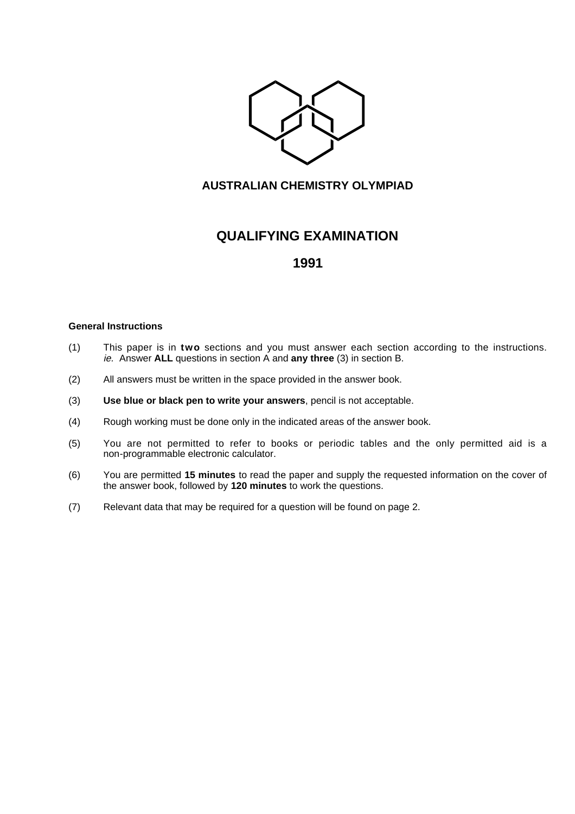

### **AUSTRALIAN CHEMISTRY OLYMPIAD**

# **QUALIFYING EXAMINATION**

## **1991**

#### **General Instructions**

- (1) This paper is in **two** sections and you must answer each section according to the instructions. ie. Answer **ALL** questions in section A and **any three** (3) in section B.
- (2) All answers must be written in the space provided in the answer book.
- (3) **Use blue or black pen to write your answers**, pencil is not acceptable.
- (4) Rough working must be done only in the indicated areas of the answer book.
- (5) You are not permitted to refer to books or periodic tables and the only permitted aid is a non-programmable electronic calculator.
- (6) You are permitted **15 minutes** to read the paper and supply the requested information on the cover of the answer book, followed by **120 minutes** to work the questions.
- (7) Relevant data that may be required for a question will be found on page 2.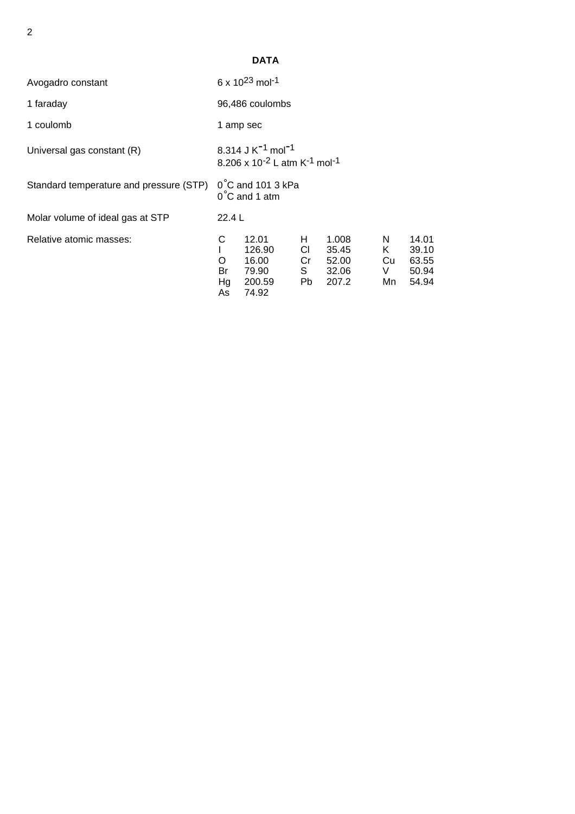|                                         |                                                                                                        | <b>DATA</b>                                          |                               |                                           |                             |                                           |
|-----------------------------------------|--------------------------------------------------------------------------------------------------------|------------------------------------------------------|-------------------------------|-------------------------------------------|-----------------------------|-------------------------------------------|
| Avogadro constant                       |                                                                                                        | 6 x 10 <sup>23</sup> mol <sup>-1</sup>               |                               |                                           |                             |                                           |
| 1 faraday                               | 96,486 coulombs                                                                                        |                                                      |                               |                                           |                             |                                           |
| 1 coulomb                               | 1 amp sec                                                                                              |                                                      |                               |                                           |                             |                                           |
| Universal gas constant (R)              | 8.314 J $K^{-1}$ mol <sup>-1</sup><br>8.206 x 10 <sup>-2</sup> L atm K <sup>-1</sup> mol <sup>-1</sup> |                                                      |                               |                                           |                             |                                           |
| Standard temperature and pressure (STP) | $0^{\circ}$ C and 101 3 kPa<br>$0^{\circ}$ C and 1 atm                                                 |                                                      |                               |                                           |                             |                                           |
| Molar volume of ideal gas at STP        | 22.4L                                                                                                  |                                                      |                               |                                           |                             |                                           |
| Relative atomic masses:                 | С<br>O<br>Br<br>Hg<br>As                                                                               | 12.01<br>126.90<br>16.00<br>79.90<br>200.59<br>74.92 | H.<br>CI –<br>Cr<br>S.<br>Pb. | 1.008<br>35.45<br>52.00<br>32.06<br>207.2 | N.<br>K.<br>Cu<br>V.<br>Mn. | 14.01<br>39.10<br>63.55<br>50.94<br>54.94 |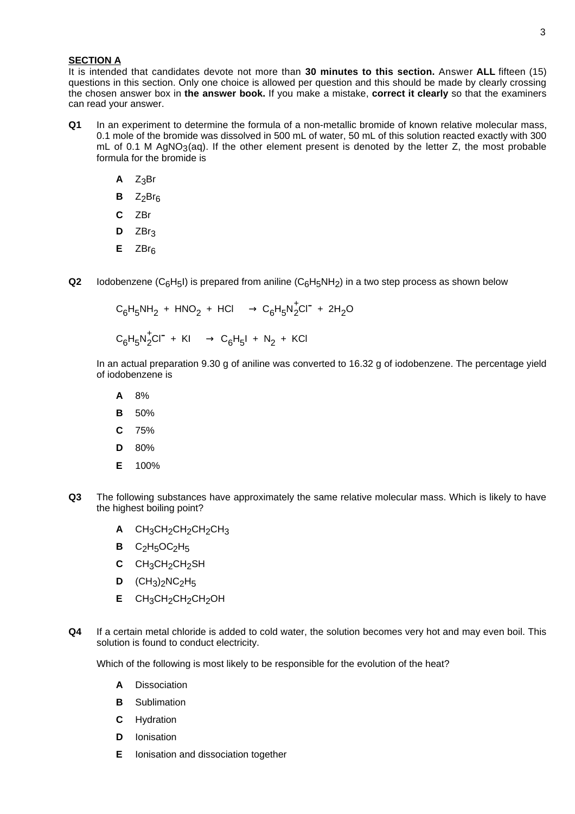#### **SECTION A**

It is intended that candidates devote not more than **30 minutes to this section.** Answer **ALL** fifteen (15) questions in this section. Only one choice is allowed per question and this should be made by clearly crossing the chosen answer box in **the answer book.** If you make a mistake, **correct it clearly** so that the examiners can read your answer.

- **Q1** In an experiment to determine the formula of a non-metallic bromide of known relative molecular mass, 0.1 mole of the bromide was dissolved in 500 mL of water, 50 mL of this solution reacted exactly with 300 mL of 0.1 M AgNO<sub>3</sub>(ag). If the other element present is denoted by the letter Z, the most probable formula for the bromide is
	- $A$   $Z_3Br$
	- $BZ_2Br_6$
	- **C** ZBr
	- $D$  ZBr<sub>3</sub>
	- **E** ZBr<sub>6</sub>
- **Q2** Iodobenzene (C<sub>6</sub>H<sub>5</sub>I) is prepared from aniline (C<sub>6</sub>H<sub>5</sub>NH<sub>2</sub>) in a two step process as shown below

$$
C_6H_5NH_2 + HNO_2 + HCl \longrightarrow C_6H_5N_2^+Cl^- + 2H_2O
$$

$$
C_6H_5N_2^{\dagger}Cl^{\dagger} + Kl \longrightarrow C_6H_5I + N_2 + KCl
$$

In an actual preparation 9.30 g of aniline was converted to 16.32 g of iodobenzene. The percentage yield of iodobenzene is

- **A** 8%
- **B** 50%
- **C** 75%
- **D** 80%
- **E** 100%
- **Q3** The following substances have approximately the same relative molecular mass. Which is likely to have the highest boiling point?
	- **A** CH<sub>3</sub>CH<sub>2</sub>CH<sub>2</sub>CH<sub>2</sub>CH<sub>3</sub>
	- $B$  C<sub>2</sub>H<sub>5</sub>OC<sub>2</sub>H<sub>5</sub>
	- **C** CH3CH2CH2SH
	- **D**  $(CH_3)_2NC_2H_5$
	- **E** CH<sub>3</sub>CH<sub>2</sub>CH<sub>2</sub>CH<sub>2</sub>OH
- **Q4** If a certain metal chloride is added to cold water, the solution becomes very hot and may even boil. This solution is found to conduct electricity.

Which of the following is most likely to be responsible for the evolution of the heat?

- **A** Dissociation
- **B** Sublimation
- **C** Hydration
- **D** Ionisation
- **E** Ionisation and dissociation together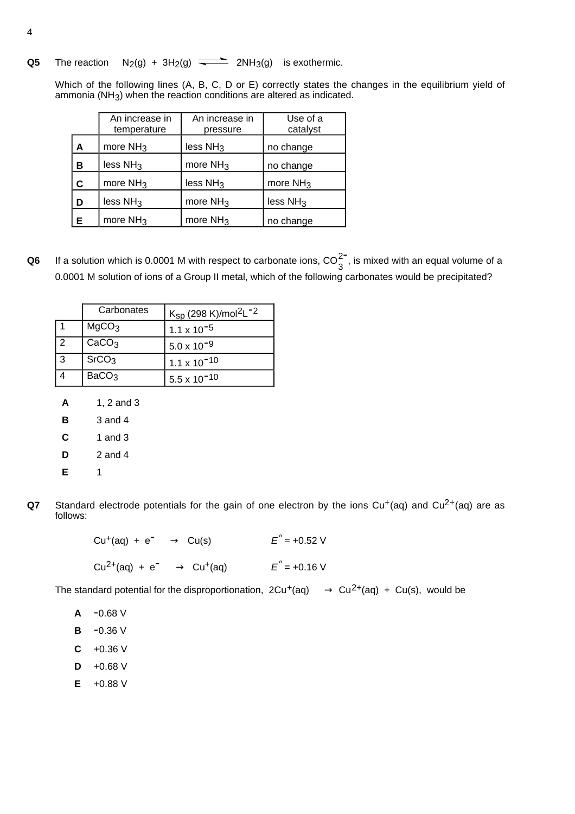**Q5** The reaction  $N_2(g) + 3H_2(g)$   $\longrightarrow$   $2NH_3(g)$  is exothermic.

Which of the following lines (A, B, C, D or E) correctly states the changes in the equilibrium yield of ammonia (NH3) when the reaction conditions are altered as indicated.

|   | An increase in<br>temperature | An increase in<br>pressure | Use of a<br>catalyst |
|---|-------------------------------|----------------------------|----------------------|
| A | more $NH3$                    | less $NH3$                 | no change            |
| в | less NH <sub>3</sub>          | more $NH3$                 | no change            |
| C | more $NH3$                    | less NH <sub>3</sub>       | more $NH3$           |
| D | less $NH3$                    | more $NH3$                 | less NH <sub>3</sub> |
| Е | more $NH3$                    | more $NH3$                 | no change            |

**Q6** If a solution which is 0.0001 M with respect to carbonate ions,  $CO_3^{2}$ , is mixed with an equal volume of a 0.0001 M solution of ions of a Group II metal, which of the following carbonates would be precipitated?

|   | Carbonates        | $K_{SD}$ (298 K)/mol <sup>2</sup> L <sup>-2</sup> |  |
|---|-------------------|---------------------------------------------------|--|
|   | MgCO <sub>3</sub> | $1.1 \times 10^{-5}$                              |  |
| 2 | CaCO <sub>3</sub> | $5.0 \times 10^{-9}$                              |  |
| 3 | SrCO <sub>3</sub> | $1.1 \times 10^{-10}$                             |  |
|   | BaCO <sub>3</sub> | $5.5 \times 10^{-10}$                             |  |

- **A** 1, 2 and 3
- **B** 3 and 4
- **C** 1 and 3
- **D** 2 and 4
- **E** 1
- **Q7** Standard electrode potentials for the gain of one electron by the ions  $Cu<sup>+</sup>(aq)$  and  $Cu<sup>2+</sup>(aq)$  are as follows:

 $Cu^{+}(aq) + e^{-} \longrightarrow Cu(s)$   $E^{\circ} = +0.52 \text{ V}$ Cu<sup>2+</sup>(aq) + e<sup>-</sup>  $\longrightarrow$  Cu<sup>+</sup>(aq)  $E^{\circ}$  = +0.16 V

The standard potential for the disproportionation,  $2Cu^{+}(aq) \longrightarrow Cu^{2+}(aq) + Cu(s)$ , would be

- **A** -0.68 V
- **B** -0.36 V
- $C +0.36 V$
- $D +0.68$  V
- **E** +0.88 V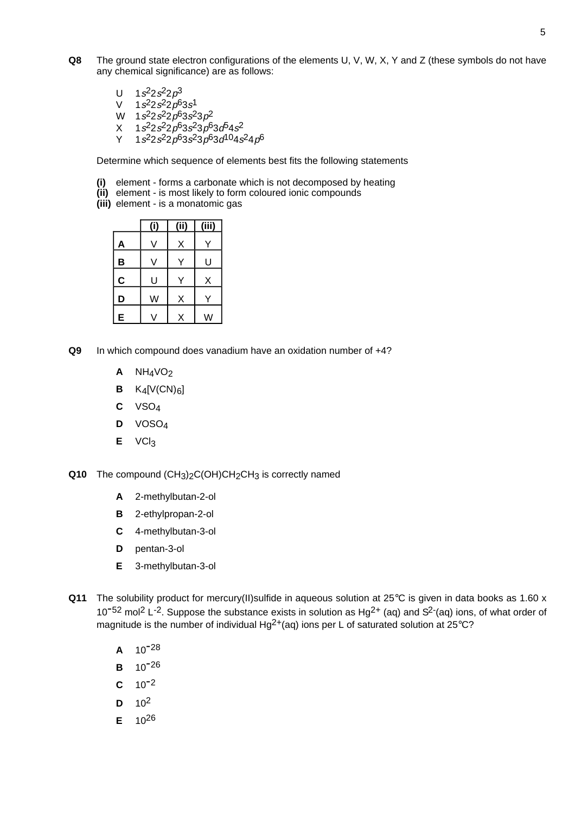- **Q8** The ground state electron configurations of the elements U, V, W, X, Y and Z (these symbols do not have any chemical significance) are as follows:
	- U  $1s^2 2s^2 2p^3$
	- $V = 1s^2 2s^2 2p^6 3s^1$
	- W  $1s^22s^22p^63s^23p^2$
	- $X$  1s<sup>2</sup>2s<sup>2</sup>2p<sup>6</sup>3s<sup>2</sup>3p<sup>6</sup>3d<sup>5</sup>4s<sup>2</sup>
	- $Y = 1s^{2}2s^{2}2p^{6}3s^{2}3p^{6}3d^{10}4s^{2}4p^{6}$

Determine which sequence of elements best fits the following statements

- **(i)** element forms a carbonate which is not decomposed by heating
- **(ii)** element is most likely to form coloured ionic compounds
- **(iii)** element is a monatomic gas

|   | (i) | ii) | Ϊij |
|---|-----|-----|-----|
| A |     | X   |     |
| В | V   |     | U   |
| C | U   |     | X   |
| D | W   | X   |     |
| E |     | X   | W   |

- **Q9** In which compound does vanadium have an oxidation number of +4?
	- $A$  NH<sub>4</sub>VO<sub>2</sub>
	- $B$  K<sub>4</sub>[V(CN)<sub>6</sub>]
	- **C** VSO4
	- **D** VOSO4
	- **E** VCl3

**Q10** The compound (CH<sub>3</sub>)<sub>2</sub>C(OH)CH<sub>2</sub>CH<sub>3</sub> is correctly named

- **A** 2-methylbutan-2-ol
- **B** 2-ethylpropan-2-ol
- **C** 4-methylbutan-3-ol
- **D** pentan-3-ol
- **E** 3-methylbutan-3-ol
- **Q11** The solubility product for mercury(II)sulfide in aqueous solution at 25°C is given in data books as 1.60 x 10<sup>-52</sup> mol<sup>2</sup> L<sup>-2</sup>. Suppose the substance exists in solution as Hg<sup>2+</sup> (aq) and S<sup>2-</sup>(aq) ions, of what order of magnitude is the number of individual Hg<sup>2+</sup>(aq) ions per L of saturated solution at  $25^{\circ}$ C?
	- **<sup>A</sup>** 10-28
	- **<sup>B</sup>** 10-26
	- $C = 10^{-2}$
	- **D** 102
	- **E** 1026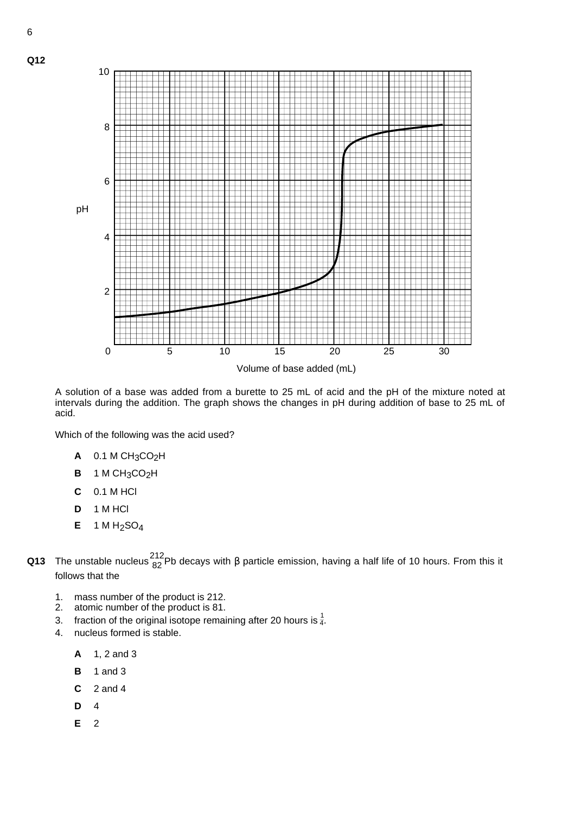

A solution of a base was added from a burette to 25 mL of acid and the pH of the mixture noted at intervals during the addition. The graph shows the changes in pH during addition of base to 25 mL of acid.

Which of the following was the acid used?

- **A** 0.1 M CH3CO2H
- **B** 1 M CH3CO2H
- **C** 0.1 M HCl
- **D** 1 M HCl
- **E** 1 M H2SO4
- **Q13** The unstable nucleus  $\frac{212}{82}$ Pb decays with β particle emission, having a half life of 10 hours. From this it follows that the
	- 1. mass number of the product is 212.
	- 2. atomic number of the product is 81.
	- 3. fraction of the original isotope remaining after 20 hours is  $\frac{1}{4}$ .
	- 4. nucleus formed is stable.
		- **A** 1, 2 and 3
		- **B** 1 and 3
		- **C** 2 and 4
		- **D** 4
		- **E** 2

**Q12**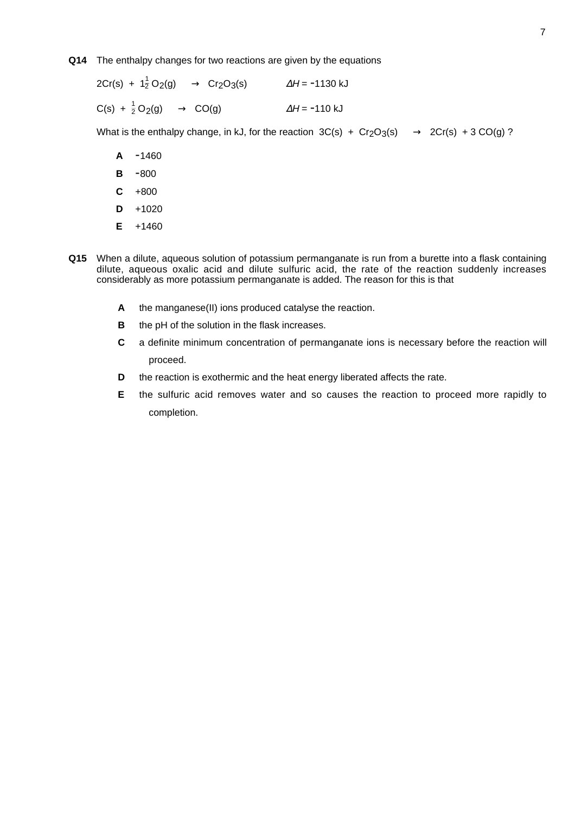#### **Q14** The enthalpy changes for two reactions are given by the equations

 $2Cr(s) + 1\frac{1}{2}O_2(g) \longrightarrow Cr_2O_3(s)$   $\Delta H = -1130 \text{ kJ}$  $C(s) + \frac{1}{2}O_2(g) \longrightarrow CO(g)$   $\Delta H = -110 \text{ kJ}$ 

What is the enthalpy change, in kJ, for the reaction  $3C(s) + Cr<sub>2</sub>O<sub>3</sub>(s) \longrightarrow 2Cr(s) + 3 CO(g)$ ?

- **A** -1460
- **B** -800
- **C** +800
- $D + 1020$
- **E** +1460
- **Q15** When a dilute, aqueous solution of potassium permanganate is run from a burette into a flask containing dilute, aqueous oxalic acid and dilute sulfuric acid, the rate of the reaction suddenly increases considerably as more potassium permanganate is added. The reason for this is that
	- **A** the manganese(II) ions produced catalyse the reaction.
	- **B** the pH of the solution in the flask increases.
	- **C** a definite minimum concentration of permanganate ions is necessary before the reaction will proceed.
	- **D** the reaction is exothermic and the heat energy liberated affects the rate.
	- **E** the sulfuric acid removes water and so causes the reaction to proceed more rapidly to completion.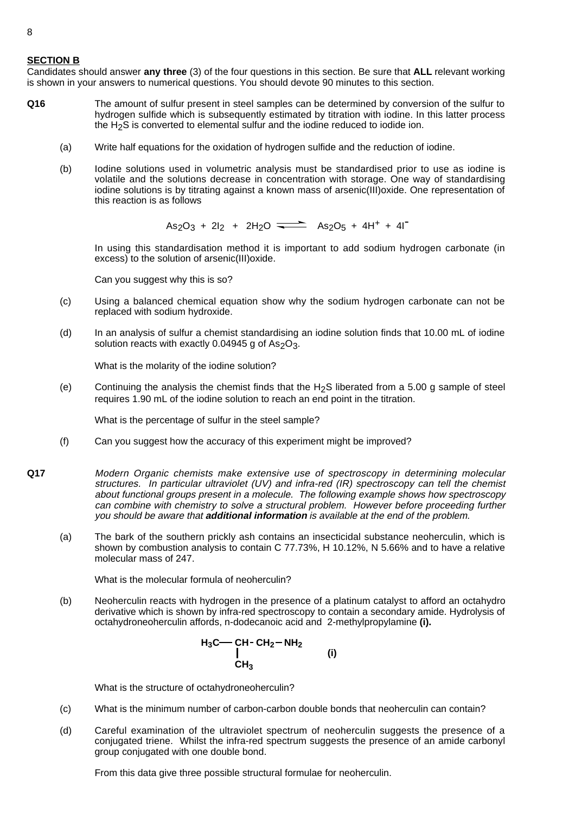### **SECTION B**

Candidates should answer **any three** (3) of the four questions in this section. Be sure that **ALL** relevant working is shown in your answers to numerical questions. You should devote 90 minutes to this section.

- **Q16** The amount of sulfur present in steel samples can be determined by conversion of the sulfur to hydrogen sulfide which is subsequently estimated by titration with iodine. In this latter process the H2S is converted to elemental sulfur and the iodine reduced to iodide ion.
	- (a) Write half equations for the oxidation of hydrogen sulfide and the reduction of iodine.
	- (b) Iodine solutions used in volumetric analysis must be standardised prior to use as iodine is volatile and the solutions decrease in concentration with storage. One way of standardising iodine solutions is by titrating against a known mass of arsenic(III)oxide. One representation of this reaction is as follows

 $As<sub>2</sub>O<sub>3</sub> + 2I<sub>2</sub> + 2H<sub>2</sub>O \implies As<sub>2</sub>O<sub>5</sub> + 4H<sup>+</sup> + 4I<sup>-</sup>$ 

In using this standardisation method it is important to add sodium hydrogen carbonate (in excess) to the solution of arsenic(III)oxide.

Can you suggest why this is so?

- (c) Using a balanced chemical equation show why the sodium hydrogen carbonate can not be replaced with sodium hydroxide.
- (d) In an analysis of sulfur a chemist standardising an iodine solution finds that 10.00 mL of iodine solution reacts with exactly 0.04945 g of As<sub>2</sub>O<sub>3</sub>.

What is the molarity of the iodine solution?

(e) Continuing the analysis the chemist finds that the H<sub>2</sub>S liberated from a 5.00 g sample of steel requires 1.90 mL of the iodine solution to reach an end point in the titration.

What is the percentage of sulfur in the steel sample?

- (f) Can you suggest how the accuracy of this experiment might be improved?
- **Q17** Modern Organic chemists make extensive use of spectroscopy in determining molecular structures. In particular ultraviolet (UV) and infra-red (IR) spectroscopy can tell the chemist about functional groups present in a molecule. The following example shows how spectroscopy can combine with chemistry to solve a structural problem. However before proceeding further you should be aware that **additional information** is available at the end of the problem.
	- (a) The bark of the southern prickly ash contains an insecticidal substance neoherculin, which is shown by combustion analysis to contain C 77.73%, H 10.12%, N 5.66% and to have a relative molecular mass of 247.

What is the molecular formula of neoherculin?

(b) Neoherculin reacts with hydrogen in the presence of a platinum catalyst to afford an octahydro derivative which is shown by infra-red spectroscopy to contain a secondary amide. Hydrolysis of octahydroneoherculin affords, n-dodecanoic acid and 2-methylpropylamine **(i).**

$$
H_3C \longrightarrow CH - CH_2 - NH_2
$$
  
\n
$$
CH_3
$$
\n(i)

What is the structure of octahydroneoherculin?

- (c) What is the minimum number of carbon-carbon double bonds that neoherculin can contain?
- (d) Careful examination of the ultraviolet spectrum of neoherculin suggests the presence of a conjugated triene. Whilst the infra-red spectrum suggests the presence of an amide carbonyl group conjugated with one double bond.

From this data give three possible structural formulae for neoherculin.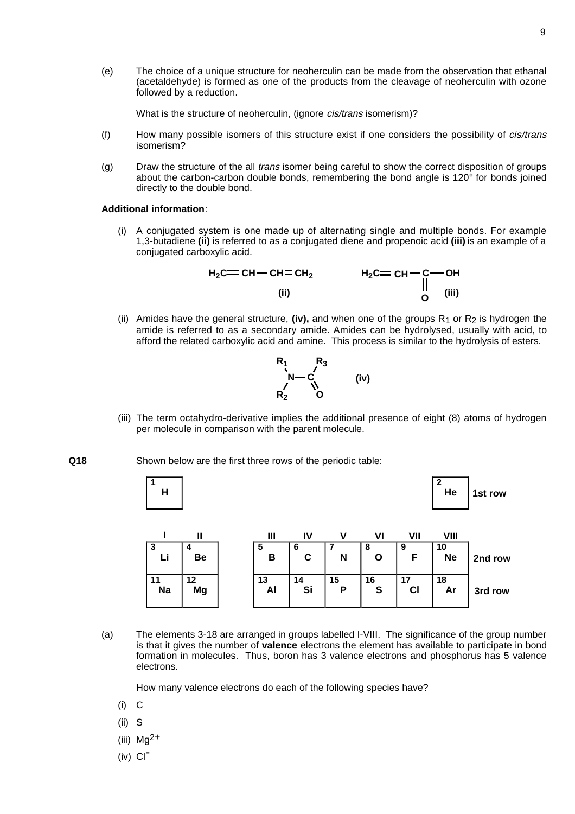(e) The choice of a unique structure for neoherculin can be made from the observation that ethanal (acetaldehyde) is formed as one of the products from the cleavage of neoherculin with ozone followed by a reduction.

What is the structure of neoherculin, (ignore *cis/trans* isomerism)?

- (f) How many possible isomers of this structure exist if one considers the possibility of *cis/trans* isomerism?
- (g) Draw the structure of the all *trans* isomer being careful to show the correct disposition of groups about the carbon-carbon double bonds, remembering the bond angle is 120° for bonds joined directly to the double bond.

#### **Additional information**:

(i) A conjugated system is one made up of alternating single and multiple bonds. For example 1,3-butadiene **(ii)** is referred to as a conjugated diene and propenoic acid **(iii)** is an example of a conjugated carboxylic acid.

$$
H_2C = CH - CH = CH_2
$$
  
\n(ii)  
\n
$$
H_2C = CH - C - OH
$$
  
\n
$$
H_2C = CH - C - OH
$$
  
\n
$$
H_2C = CH - C - OH
$$
  
\n
$$
H_2C = CH - C - OH
$$
  
\n
$$
U = U
$$

(ii) Amides have the general structure, (iv), and when one of the groups  $R_1$  or  $R_2$  is hydrogen the amide is referred to as a secondary amide. Amides can be hydrolysed, usually with acid, to afford the related carboxylic acid and amine. This process is similar to the hydrolysis of esters.



- (iii) The term octahydro-derivative implies the additional presence of eight (8) atoms of hydrogen per molecule in comparison with the parent molecule.
- **Q18** Shown below are the first three rows of the periodic table:





(a) The elements 3-18 are arranged in groups labelled I-VIII. The significance of the group number is that it gives the number of **valence** electrons the element has available to participate in bond formation in molecules. Thus, boron has 3 valence electrons and phosphorus has 5 valence electrons.

How many valence electrons do each of the following species have?

- (i) C
- (ii) S
- (iii)  $Mg^{2+}$
- $(iv)$   $Cl<sup>-</sup>$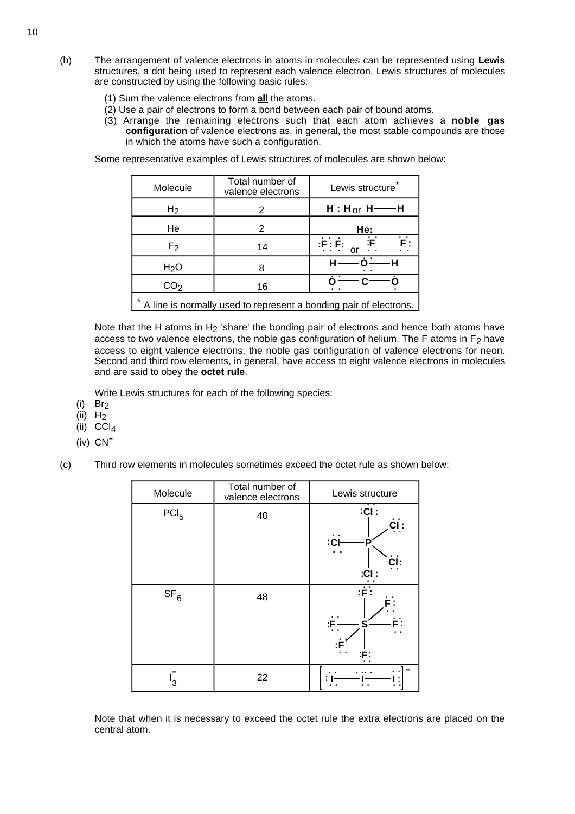- (b) The arrangement of valence electrons in atoms in molecules can be represented using **Lewis** structures, a dot being used to represent each valence electron. Lewis structures of molecules are constructed by using the following basic rules:
	- (1) Sum the valence electrons from **all** the atoms.
	- (2) Use a pair of electrons to form a bond between each pair of bound atoms.
	- (3) Arrange the remaining electrons such that each atom achieves a **noble gas configuration** of valence electrons as, in general, the most stable compounds are those in which the atoms have such a configuration.

Some representative examples of Lewis structures of molecules are shown below:

| Molecule                                                          | Total number of<br>valence electrons | Lewis structure                   |  |
|-------------------------------------------------------------------|--------------------------------------|-----------------------------------|--|
| H <sub>2</sub>                                                    | 2                                    | $H: H_{or} H \longrightarrow H$   |  |
| He                                                                | 2                                    | He:                               |  |
| F2                                                                | 14                                   | :F : F:                           |  |
| H <sub>2</sub> O                                                  | 8                                    |                                   |  |
| CO <sub>2</sub>                                                   | 16                                   | $\dot{o}$ = $\dot{c}$ = $\dot{c}$ |  |
| A line is normally used to represent a bonding pair of electrons. |                                      |                                   |  |

Note that the H atoms in H<sub>2</sub> 'share' the bonding pair of electrons and hence both atoms have access to two valence electrons, the noble gas configuration of helium. The F atoms in  $F_2$  have access to eight valence electrons, the noble gas configuration of valence electrons for neon. Second and third row elements, in general, have access to eight valence electrons in molecules and are said to obey the **octet rule**.

Write Lewis structures for each of the following species:

- $(i)$  Br<sub>2</sub>
- (ii)  $H_2$
- (ii) CCl4
- (iv) CN-
- (c) Third row elements in molecules sometimes exceed the octet rule as shown below:

| Molecule         | Total number of<br>valence electrons | Lewis structure                               |
|------------------|--------------------------------------|-----------------------------------------------|
| PCI <sub>5</sub> | 40                                   | $:$ Cl:<br>CI :<br>:CI<br>D<br>: ا<br>$:$ Cl: |
| SF <sub>6</sub>  | 48                                   | $:\dot{\mathsf{F}}$ :<br>S<br>:F :            |
| З                | 22                                   |                                               |

Note that when it is necessary to exceed the octet rule the extra electrons are placed on the central atom.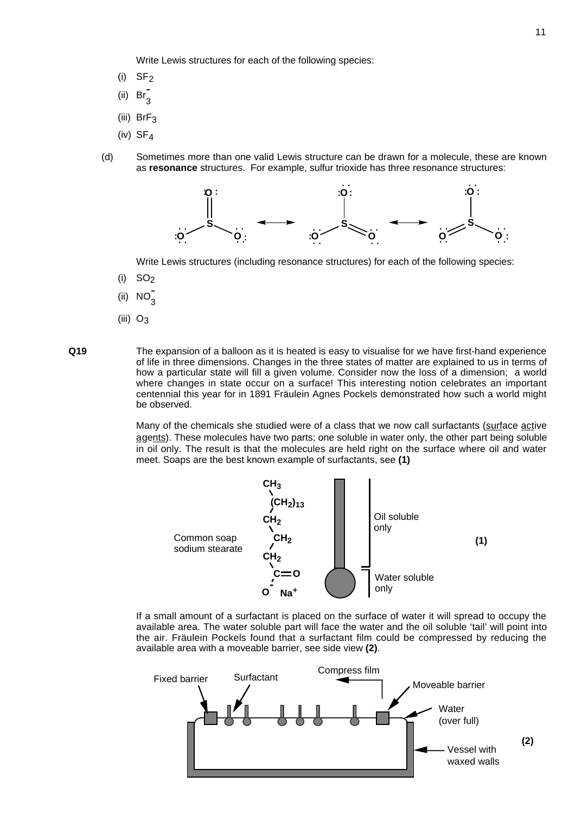Write Lewis structures for each of the following species:

- $(i)$  SF<sub>2</sub>
- (ii)  $\operatorname{Br}^-_3$
- (iii)  $BrF<sub>3</sub>$
- (iv)  $SF<sub>4</sub>$
- (d) Sometimes more than one valid Lewis structure can be drawn for a molecule, these are known as **resonance** structures. For example, sulfur trioxide has three resonance structures:



Write Lewis structures (including resonance structures) for each of the following species:

- (i)  $SO<sub>2</sub>$
- (ii)  $NO_3^-$
- (iii)  $O_3$

**Q19** The expansion of a balloon as it is heated is easy to visualise for we have first-hand experience of life in three dimensions. Changes in the three states of matter are explained to us in terms of how a particular state will fill a given volume. Consider now the loss of a dimension; a world where changes in state occur on a surface! This interesting notion celebrates an important centennial this year for in 1891 Fräulein Agnes Pockels demonstrated how such a world might be observed.

> Many of the chemicals she studied were of a class that we now call surfactants (surface active agents). These molecules have two parts; one soluble in water only, the other part being soluble in oil only. The result is that the molecules are held right on the surface where oil and water meet. Soaps are the best known example of surfactants, see **(1)**



If a small amount of a surfactant is placed on the surface of water it will spread to occupy the available area. The water soluble part will face the water and the oil soluble 'tail' will point into the air. Fräulein Pockels found that a surfactant film could be compressed by reducing the available area with a moveable barrier, see side view **(2)**.